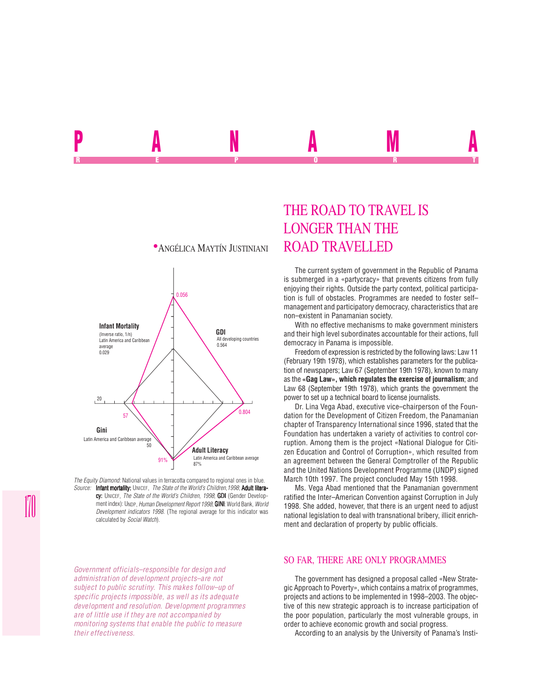

*The Equity Diamond:* National values in terracotta compared to regional ones in blue. *Source:* Infant mortality: UNICEF, *The State of the World's Children,1998*; Adult literacy: UNICEF, *The State of the World's Children, 1998*; GDI (Gender Development index): UNDP, *Human Development Report 1998*; **GINI:** World Bank, *World Development indicators 1998*. (The regional average for this indicator was calculated by *Social Watch*).

*Government officials–responsible for design and administration of development projects–are not subject to public scrutiny. This makes follow–up of specific projects impossible, as well as its adequate development and resolution. Development programmes are of little use if they are not accompanied by monitoring systems that enable the public to measure their effectiveness.*

## THE ROAD TO TRAVEL IS LONGER THAN THE

P**AN** NAMA REPORT OF STATE REPORT OF STATE REPORT OF STATE REPORT OF STATE REPORT OF STATE REPORT OF STATE REPORT OF STATE REPORT OF STATE REPORT OF STATE REPORT OF STATE REPORT OF STATE REPORT OF STATE REPORT OF STATE REPORT OF STAT

> The current system of government in the Republic of Panama is submerged in a «partycracy» that prevents citizens from fully enjoying their rights. Outside the party context, political participation is full of obstacles. Programmes are needed to foster self– management and participatory democracy, characteristics that are non–existent in Panamanian society.

> With no effective mechanisms to make government ministers and their high level subordinates accountable for their actions, full democracy in Panama is impossible.

> Freedom of expression is restricted by the following laws: Law 11 (February 19th 1978), which establishes parameters for the publication of newspapers; Law 67 (September 19th 1978), known to many as the **«Gag Law», which regulates the exercise of journalism**; and Law 68 (September 19th 1978), which grants the government the power to set up a technical board to license journalists.

> Dr. Lina Vega Abad, executive vice–chairperson of the Foundation for the Development of Citizen Freedom, the Panamanian chapter of Transparency International since 1996, stated that the Foundation has undertaken a variety of activities to control corruption. Among them is the project «National Dialogue for Citizen Education and Control of Corruption», which resulted from an agreement between the General Comptroller of the Republic and the United Nations Development Programme (UNDP) signed March 10th 1997. The project concluded May 15th 1998.

> Ms. Vega Abad mentioned that the Panamanian government ratified the Inter–American Convention against Corruption in July 1998. She added, however, that there is an urgent need to adjust national legislation to deal with transnational bribery, illicit enrichment and declaration of property by public officials.

## SO FAR, THERE ARE ONLY PROGRAMMES

The government has designed a proposal called «New Strategic Approach to Poverty», which contains a matrix of programmes, projects and actions to be implemented in 1998–2003. The objective of this new strategic approach is to increase participation of the poor population, particularly the most vulnerable groups, in order to achieve economic growth and social progress.

According to an analysis by the University of Panama's Insti-